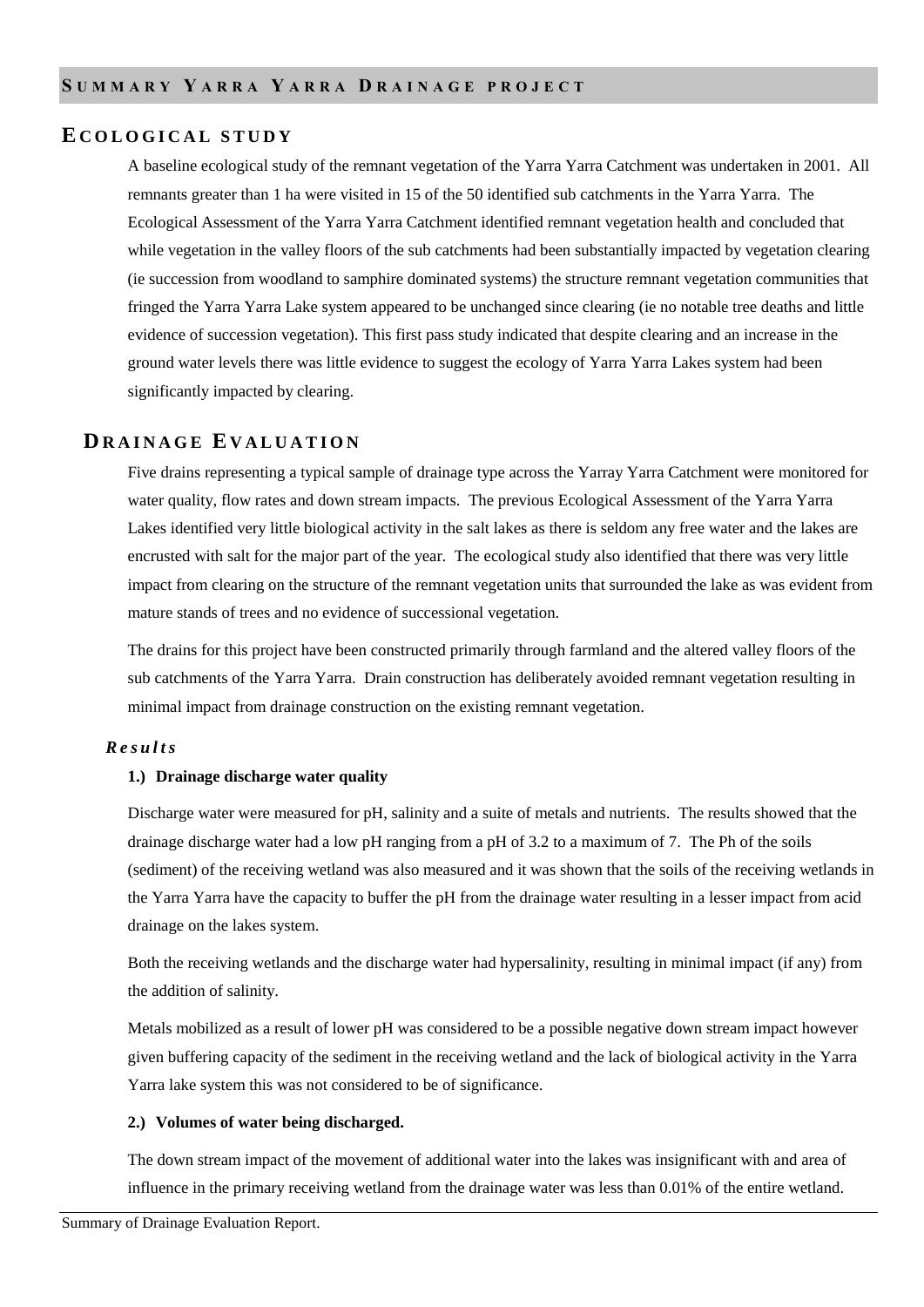# **E C O L O G I C A L S T U D Y**

A baseline ecological study of the remnant vegetation of the Yarra Yarra Catchment was undertaken in 2001. All remnants greater than 1 ha were visited in 15 of the 50 identified sub catchments in the Yarra Yarra. The Ecological Assessment of the Yarra Yarra Catchment identified remnant vegetation health and concluded that while vegetation in the valley floors of the sub catchments had been substantially impacted by vegetation clearing (ie succession from woodland to samphire dominated systems) the structure remnant vegetation communities that fringed the Yarra Yarra Lake system appeared to be unchanged since clearing (ie no notable tree deaths and little evidence of succession vegetation). This first pass study indicated that despite clearing and an increase in the ground water levels there was little evidence to suggest the ecology of Yarra Yarra Lakes system had been significantly impacted by clearing.

## **DR A I N A G E E V A L U A T I O N**

Five drains representing a typical sample of drainage type across the Yarray Yarra Catchment were monitored for water quality, flow rates and down stream impacts. The previous Ecological Assessment of the Yarra Yarra Lakes identified very little biological activity in the salt lakes as there is seldom any free water and the lakes are encrusted with salt for the major part of the year. The ecological study also identified that there was very little impact from clearing on the structure of the remnant vegetation units that surrounded the lake as was evident from mature stands of trees and no evidence of successional vegetation.

The drains for this project have been constructed primarily through farmland and the altered valley floors of the sub catchments of the Yarra Yarra. Drain construction has deliberately avoided remnant vegetation resulting in minimal impact from drainage construction on the existing remnant vegetation.

### *R e s u l t s*

### **1.) Drainage discharge water quality**

Discharge water were measured for pH, salinity and a suite of metals and nutrients. The results showed that the drainage discharge water had a low pH ranging from a pH of 3.2 to a maximum of 7. The Ph of the soils (sediment) of the receiving wetland was also measured and it was shown that the soils of the receiving wetlands in the Yarra Yarra have the capacity to buffer the pH from the drainage water resulting in a lesser impact from acid drainage on the lakes system.

Both the receiving wetlands and the discharge water had hypersalinity, resulting in minimal impact (if any) from the addition of salinity.

Metals mobilized as a result of lower pH was considered to be a possible negative down stream impact however given buffering capacity of the sediment in the receiving wetland and the lack of biological activity in the Yarra Yarra lake system this was not considered to be of significance.

#### **2.) Volumes of water being discharged.**

The down stream impact of the movement of additional water into the lakes was insignificant with and area of influence in the primary receiving wetland from the drainage water was less than 0.01% of the entire wetland.